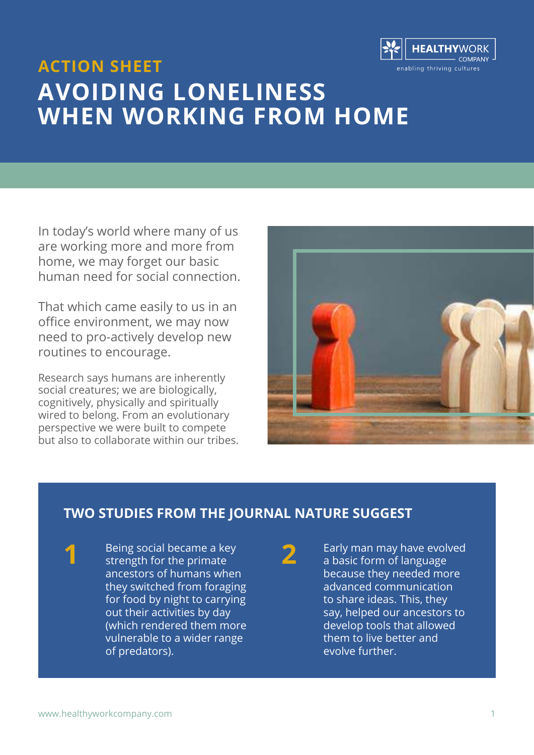

## **ACTION SHEET AVOIDING LONELINESS WHEN WORKING FROM HOME**

In today's world where many of us are working more and more from home, we may forget our basic human need for social connection.

That which came easily to us in an office environment, we may now need to pro-actively develop new routines to encourage.

Research says humans are inherently social creatures; we are biologically, cognitively, physically and spiritually wired to belong. From an evolutionary perspective we were built to compete but also to collaborate within our tribes.



### **TWO STUDIES FROM THE JOURNAL NATURE SUGGEST**

Being social became a key strength for the primate ancestors of humans when they switched from foraging for food by night to carrying out their activities by day (which rendered them more vulnerable to a wider range of predators).

**2**

Early man may have evolved a basic form of language because they needed more advanced communication to share ideas. This, they say, helped our ancestors to develop tools that allowed them to live better and evolve further.

**1**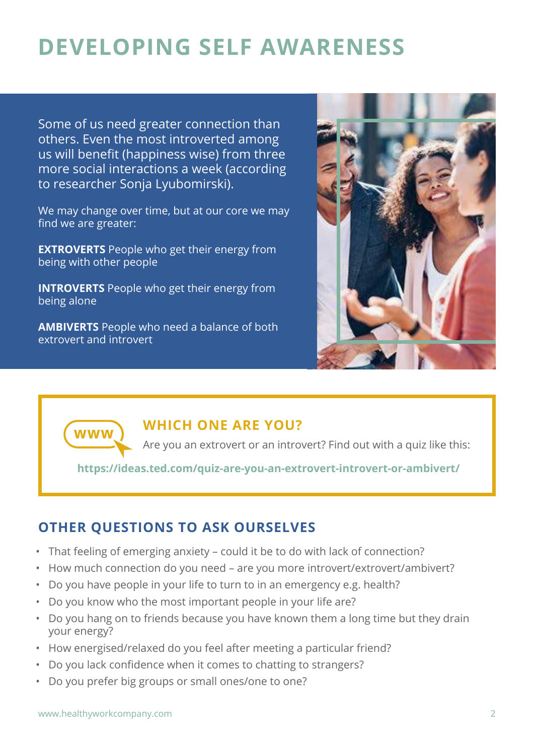# **DEVELOPING SELF AWARENESS**

Some of us need greater connection than others. Even the most introverted among us will benefit (happiness wise) from three more social interactions a week (according to researcher Sonja Lyubomirski).

We may change over time, but at our core we may find we are greater:

**EXTROVERTS** People who get their energy from being with other people

**INTROVERTS** People who get their energy from being alone

**AMBIVERTS** People who need a balance of both extrovert and introvert





#### **WHICH ONE ARE YOU?**

Are you an extrovert or an introvert? Find out with a quiz like this:

**[https://ideas.ted.com/quiz-are-you-an-extrovert-introvert-or-ambivert/](https://ideas.ted.com/quiz-are-you-an-extrovert-introvert-or-ambivert/
)**

### **OTHER QUESTIONS TO ASK OURSELVES**

- That feeling of emerging anxiety could it be to do with lack of connection?
- How much connection do you need are you more introvert/extrovert/ambivert?
- Do you have people in your life to turn to in an emergency e.g. health?
- Do you know who the most important people in your life are?
- Do you hang on to friends because you have known them a long time but they drain your energy?
- How energised/relaxed do you feel after meeting a particular friend?
- Do you lack confidence when it comes to chatting to strangers?
- Do you prefer big groups or small ones/one to one?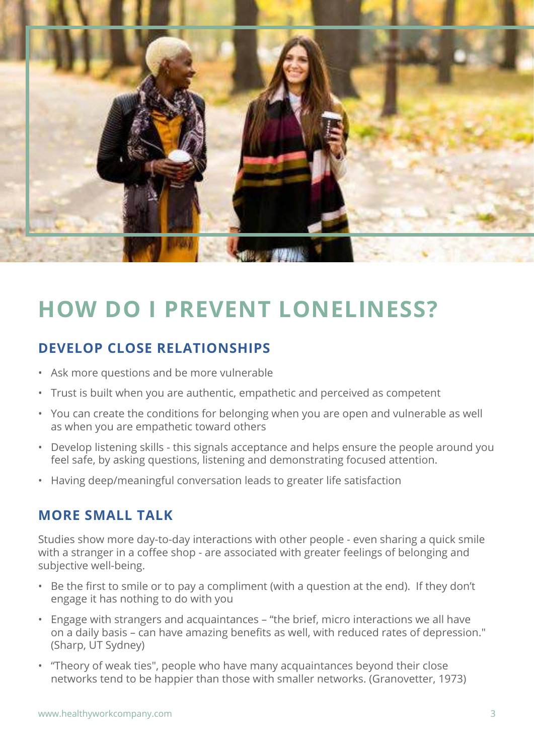

# **HOW DO I PREVENT LONELINESS?**

### **DEVELOP CLOSE RELATIONSHIPS**

- Ask more questions and be more vulnerable
- Trust is built when you are authentic, empathetic and perceived as competent
- You can create the conditions for belonging when you are open and vulnerable as well as when you are empathetic toward others
- Develop listening skills this signals acceptance and helps ensure the people around you feel safe, by asking questions, listening and demonstrating focused attention.
- Having deep/meaningful conversation leads to greater life satisfaction

#### **MORE SMALL TALK**

Studies show more day-to-day interactions with other people - even sharing a quick smile with a stranger in a coffee shop - are associated with greater feelings of belonging and subjective well-being.

- Be the first to smile or to pay a compliment (with a question at the end). If they don't engage it has nothing to do with you
- Engage with strangers and acquaintances "the brief, micro interactions we all have on a daily basis – can have amazing benefits as well, with reduced rates of depression." (Sharp, UT Sydney)
- "Theory of weak ties", people who have many acquaintances beyond their close networks tend to be happier than those with smaller networks. (Granovetter, 1973)